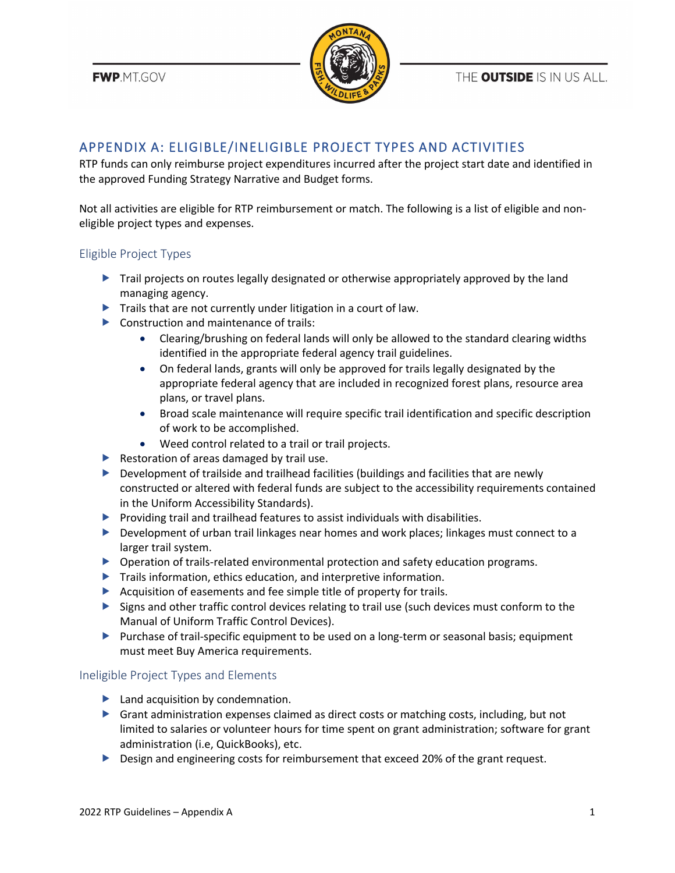FWP.MT.GOV



## APPENDIX A: ELIGIBLE/INELIGIBLE PROJECT TYPES AND ACTIVITIES

RTP funds can only reimburse project expenditures incurred after the project start date and identified in the approved Funding Strategy Narrative and Budget forms.

Not all activities are eligible for RTP reimbursement or match. The following is a list of eligible and noneligible project types and expenses.

## Eligible Project Types

- **Trail projects on routes legally designated or otherwise appropriately approved by the land** managing agency.
- $\blacktriangleright$  Trails that are not currently under litigation in a court of law.
- Construction and maintenance of trails:
	- Clearing/brushing on federal lands will only be allowed to the standard clearing widths identified in the appropriate federal agency trail guidelines.
	- On federal lands, grants will only be approved for trails legally designated by the appropriate federal agency that are included in recognized forest plans, resource area plans, or travel plans.
	- Broad scale maintenance will require specific trail identification and specific description of work to be accomplished.
	- Weed control related to a trail or trail projects.
- Restoration of areas damaged by trail use.
- Development of trailside and trailhead facilities (buildings and facilities that are newly constructed or altered with federal funds are subject to the accessibility requirements contained in the Uniform Accessibility Standards).
- $\blacktriangleright$  Providing trail and trailhead features to assist individuals with disabilities.
- Development of urban trail linkages near homes and work places; linkages must connect to a larger trail system.
- Operation of trails-related environmental protection and safety education programs.
- $\blacktriangleright$  Trails information, ethics education, and interpretive information.
- Acquisition of easements and fee simple title of property for trails.
- Signs and other traffic control devices relating to trail use (such devices must conform to the Manual of Uniform Traffic Control Devices).
- Purchase of trail-specific equipment to be used on a long-term or seasonal basis; equipment must meet Buy America requirements.

## Ineligible Project Types and Elements

- **Land acquisition by condemnation.**
- Grant administration expenses claimed as direct costs or matching costs, including, but not limited to salaries or volunteer hours for time spent on grant administration; software for grant administration (i.e, QuickBooks), etc.
- Design and engineering costs for reimbursement that exceed 20% of the grant request.